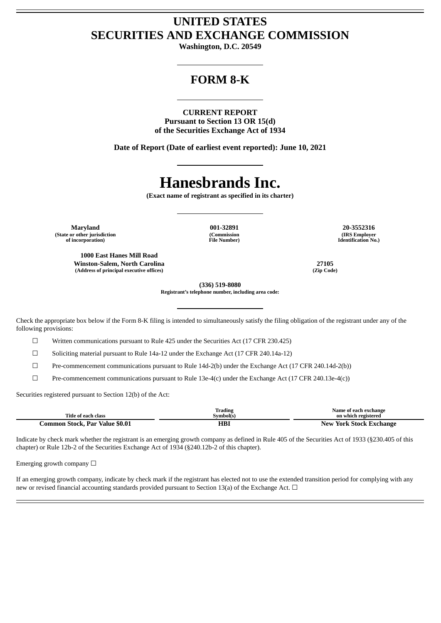## **UNITED STATES SECURITIES AND EXCHANGE COMMISSION**

**Washington, D.C. 20549**

## **FORM 8-K**

**CURRENT REPORT**

**Pursuant to Section 13 OR 15(d) of the Securities Exchange Act of 1934**

**Date of Report (Date of earliest event reported): June 10, 2021**

# **Hanesbrands Inc.**

**(Exact name of registrant as specified in its charter)**

**(Commission File Number)**

**Maryland 001-32891 20-3552316 (State or other jurisdiction of incorporation)**

**1000 East Hanes Mill Road Winston-Salem, North Carolina 27105 (Address of principal executive offices) (Zip Code)**

**(IRS Employer Identification No.)**

**(336) 519-8080**

**Registrant's telephone number, including area code:**

Check the appropriate box below if the Form 8-K filing is intended to simultaneously satisfy the filing obligation of the registrant under any of the following provisions:

☐ Written communications pursuant to Rule 425 under the Securities Act (17 CFR 230.425)

 $\Box$  Soliciting material pursuant to Rule 14a-12 under the Exchange Act (17 CFR 240.14a-12)

☐ Pre-commencement communications pursuant to Rule 14d-2(b) under the Exchange Act (17 CFR 240.14d-2(b))

☐ Pre-commencement communications pursuant to Rule 13e-4(c) under the Exchange Act (17 CFR 240.13e-4(c))

Securities registered pursuant to Section 12(b) of the Act:

| Title of each class            | Trading<br>Svmbol(s) | Name of each exchange<br>on which registered |
|--------------------------------|----------------------|----------------------------------------------|
| Common Stock. Par Value \$0.01 | HBI                  | New York Stock Exchange                      |

Indicate by check mark whether the registrant is an emerging growth company as defined in Rule 405 of the Securities Act of 1933 (§230.405 of this chapter) or Rule 12b-2 of the Securities Exchange Act of 1934 (§240.12b-2 of this chapter).

Emerging growth company  $\Box$ 

If an emerging growth company, indicate by check mark if the registrant has elected not to use the extended transition period for complying with any new or revised financial accounting standards provided pursuant to Section 13(a) of the Exchange Act.  $\Box$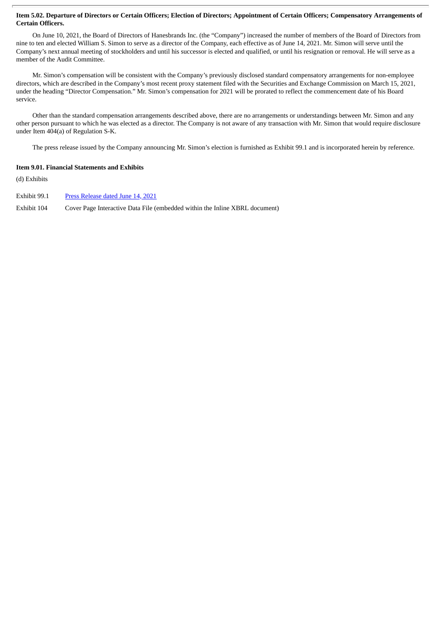#### Item 5.02. Departure of Directors or Certain Officers; Election of Directors; Appointment of Certain Officers; Compensatory Arrangements of **Certain Officers.**

On June 10, 2021, the Board of Directors of Hanesbrands Inc. (the "Company") increased the number of members of the Board of Directors from nine to ten and elected William S. Simon to serve as a director of the Company, each effective as of June 14, 2021. Mr. Simon will serve until the Company's next annual meeting of stockholders and until his successor is elected and qualified, or until his resignation or removal. He will serve as a member of the Audit Committee.

Mr. Simon's compensation will be consistent with the Company's previously disclosed standard compensatory arrangements for non-employee directors, which are described in the Company's most recent proxy statement filed with the Securities and Exchange Commission on March 15, 2021, under the heading "Director Compensation." Mr. Simon's compensation for 2021 will be prorated to reflect the commencement date of his Board service.

Other than the standard compensation arrangements described above, there are no arrangements or understandings between Mr. Simon and any other person pursuant to which he was elected as a director. The Company is not aware of any transaction with Mr. Simon that would require disclosure under Item 404(a) of Regulation S-K.

The press release issued by the Company announcing Mr. Simon's election is furnished as Exhibit 99.1 and is incorporated herein by reference.

#### **Item 9.01. Financial Statements and Exhibits**

(d) Exhibits

Exhibit 99.1 Press [Release](#page-3-0) dated June 14, 2021

Exhibit 104 Cover Page Interactive Data File (embedded within the Inline XBRL document)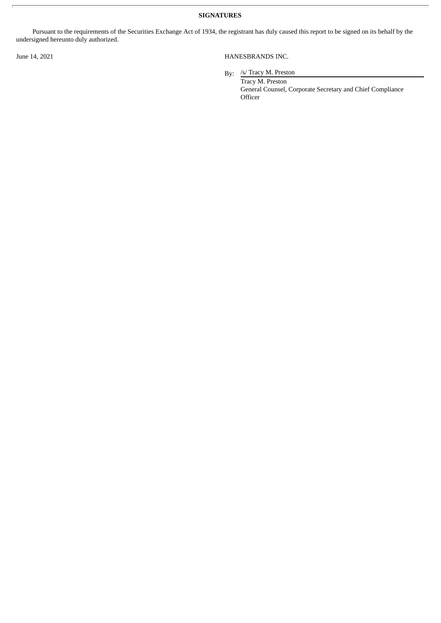**SIGNATURES**

Pursuant to the requirements of the Securities Exchange Act of 1934, the registrant has duly caused this report to be signed on its behalf by the undersigned hereunto duly authorized.

#### June 14, 2021 HANESBRANDS INC.

By: /s/ Tracy M. Preston

Tracy M. Preston General Counsel, Corporate Secretary and Chief Compliance **Officer**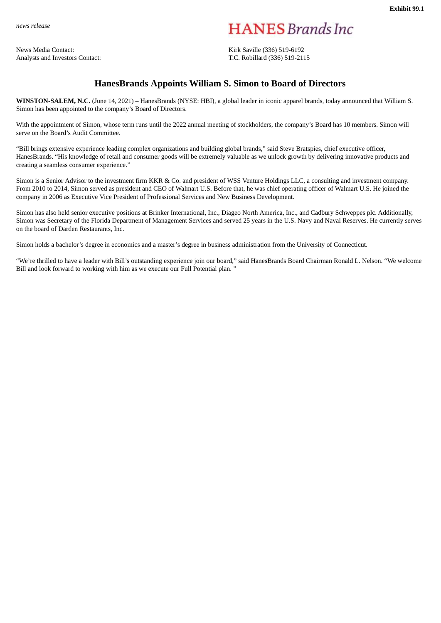<span id="page-3-0"></span>*news release*

News Media Contact: Kirk Saville (336) 519-6192 Analysts and Investors Contact: T.C. Robillard (336) 519-2115

**HANES** Brands Inc.

### **HanesBrands Appoints William S. Simon to Board of Directors**

**WINSTON-SALEM, N.C.** (June 14, 2021) – HanesBrands (NYSE: HBI), a global leader in iconic apparel brands, today announced that William S. Simon has been appointed to the company's Board of Directors.

With the appointment of Simon, whose term runs until the 2022 annual meeting of stockholders, the company's Board has 10 members. Simon will serve on the Board's Audit Committee.

"Bill brings extensive experience leading complex organizations and building global brands," said Steve Bratspies, chief executive officer, HanesBrands. "His knowledge of retail and consumer goods will be extremely valuable as we unlock growth by delivering innovative products and creating a seamless consumer experience."

Simon is a Senior Advisor to the investment firm KKR & Co. and president of WSS Venture Holdings LLC, a consulting and investment company. From 2010 to 2014, Simon served as president and CEO of Walmart U.S. Before that, he was chief operating officer of Walmart U.S. He joined the company in 2006 as Executive Vice President of Professional Services and New Business Development.

Simon has also held senior executive positions at Brinker International, Inc., Diageo North America, Inc., and Cadbury Schweppes plc. Additionally, Simon was Secretary of the Florida Department of Management Services and served 25 years in the U.S. Navy and Naval Reserves. He currently serves on the board of Darden Restaurants, Inc.

Simon holds a bachelor's degree in economics and a master's degree in business administration from the University of Connecticut.

"We're thrilled to have a leader with Bill's outstanding experience join our board," said HanesBrands Board Chairman Ronald L. Nelson. "We welcome Bill and look forward to working with him as we execute our Full Potential plan. "